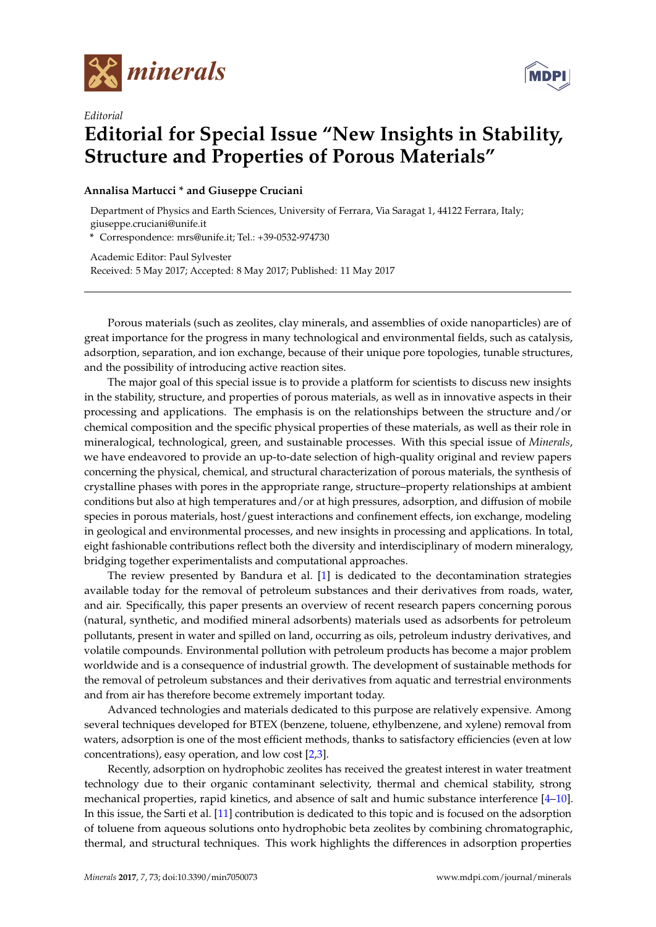

*Editorial*



## **Editorial for Special Issue "New Insights in Stability, Structure and Properties of Porous Materials"**

## **Annalisa Martucci \* and Giuseppe Cruciani**

Department of Physics and Earth Sciences, University of Ferrara, Via Saragat 1, 44122 Ferrara, Italy; giuseppe.cruciani@unife.it

**\*** Correspondence: mrs@unife.it; Tel.: +39-0532-974730

Academic Editor: Paul Sylvester Received: 5 May 2017; Accepted: 8 May 2017; Published: 11 May 2017

Porous materials (such as zeolites, clay minerals, and assemblies of oxide nanoparticles) are of great importance for the progress in many technological and environmental fields, such as catalysis, adsorption, separation, and ion exchange, because of their unique pore topologies, tunable structures, and the possibility of introducing active reaction sites.

The major goal of this special issue is to provide a platform for scientists to discuss new insights in the stability, structure, and properties of porous materials, as well as in innovative aspects in their processing and applications. The emphasis is on the relationships between the structure and/or chemical composition and the specific physical properties of these materials, as well as their role in mineralogical, technological, green, and sustainable processes. With this special issue of *Minerals*, we have endeavored to provide an up-to-date selection of high-quality original and review papers concerning the physical, chemical, and structural characterization of porous materials, the synthesis of crystalline phases with pores in the appropriate range, structure–property relationships at ambient conditions but also at high temperatures and/or at high pressures, adsorption, and diffusion of mobile species in porous materials, host/guest interactions and confinement effects, ion exchange, modeling in geological and environmental processes, and new insights in processing and applications. In total, eight fashionable contributions reflect both the diversity and interdisciplinary of modern mineralogy, bridging together experimentalists and computational approaches.

The review presented by Bandura et al. [\[1\]](#page-2-0) is dedicated to the decontamination strategies available today for the removal of petroleum substances and their derivatives from roads, water, and air. Specifically, this paper presents an overview of recent research papers concerning porous (natural, synthetic, and modified mineral adsorbents) materials used as adsorbents for petroleum pollutants, present in water and spilled on land, occurring as oils, petroleum industry derivatives, and volatile compounds. Environmental pollution with petroleum products has become a major problem worldwide and is a consequence of industrial growth. The development of sustainable methods for the removal of petroleum substances and their derivatives from aquatic and terrestrial environments and from air has therefore become extremely important today.

Advanced technologies and materials dedicated to this purpose are relatively expensive. Among several techniques developed for BTEX (benzene, toluene, ethylbenzene, and xylene) removal from waters, adsorption is one of the most efficient methods, thanks to satisfactory efficiencies (even at low concentrations), easy operation, and low cost [\[2](#page-2-1)[,3\]](#page-2-2).

Recently, adsorption on hydrophobic zeolites has received the greatest interest in water treatment technology due to their organic contaminant selectivity, thermal and chemical stability, strong mechanical properties, rapid kinetics, and absence of salt and humic substance interference [\[4–](#page-2-3)[10\]](#page-2-4). In this issue, the Sarti et al. [\[11\]](#page-2-5) contribution is dedicated to this topic and is focused on the adsorption of toluene from aqueous solutions onto hydrophobic beta zeolites by combining chromatographic, thermal, and structural techniques. This work highlights the differences in adsorption properties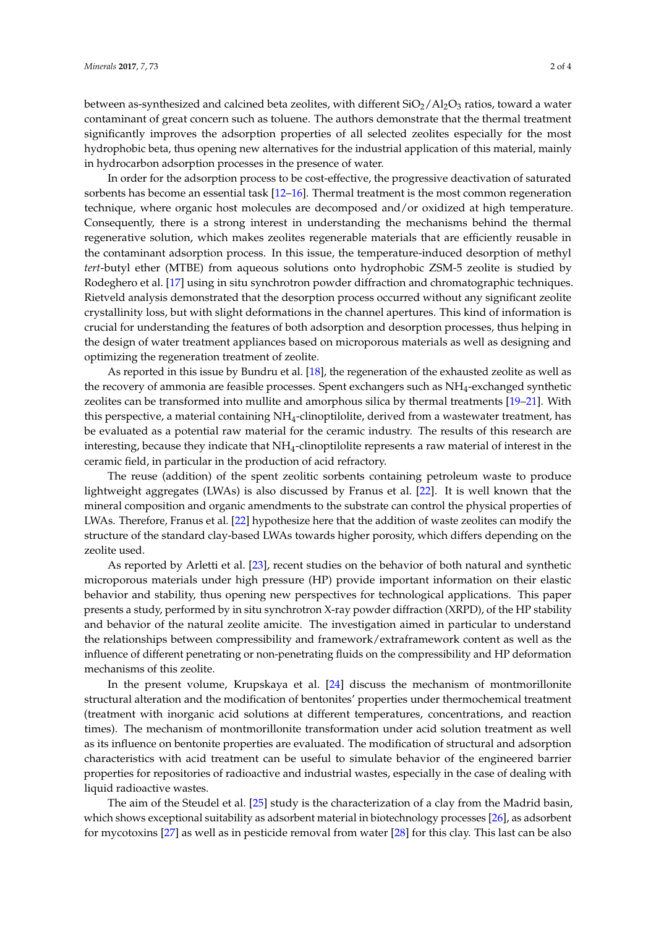between as-synthesized and calcined beta zeolites, with different  $SiO_2/Al_2O_3$  ratios, toward a water contaminant of great concern such as toluene. The authors demonstrate that the thermal treatment significantly improves the adsorption properties of all selected zeolites especially for the most hydrophobic beta, thus opening new alternatives for the industrial application of this material, mainly in hydrocarbon adsorption processes in the presence of water.

In order for the adsorption process to be cost-effective, the progressive deactivation of saturated sorbents has become an essential task [\[12–](#page-2-6)[16\]](#page-3-0). Thermal treatment is the most common regeneration technique, where organic host molecules are decomposed and/or oxidized at high temperature. Consequently, there is a strong interest in understanding the mechanisms behind the thermal regenerative solution, which makes zeolites regenerable materials that are efficiently reusable in the contaminant adsorption process. In this issue, the temperature-induced desorption of methyl *tert*-butyl ether (MTBE) from aqueous solutions onto hydrophobic ZSM-5 zeolite is studied by Rodeghero et al. [\[17\]](#page-3-1) using in situ synchrotron powder diffraction and chromatographic techniques. Rietveld analysis demonstrated that the desorption process occurred without any significant zeolite crystallinity loss, but with slight deformations in the channel apertures. This kind of information is crucial for understanding the features of both adsorption and desorption processes, thus helping in the design of water treatment appliances based on microporous materials as well as designing and optimizing the regeneration treatment of zeolite.

As reported in this issue by Bundru et al. [\[18\]](#page-3-2), the regeneration of the exhausted zeolite as well as the recovery of ammonia are feasible processes. Spent exchangers such as  $NH_4$ -exchanged synthetic zeolites can be transformed into mullite and amorphous silica by thermal treatments [\[19](#page-3-3)[–21\]](#page-3-4). With this perspective, a material containing NH4-clinoptilolite, derived from a wastewater treatment, has be evaluated as a potential raw material for the ceramic industry. The results of this research are interesting, because they indicate that NH4-clinoptilolite represents a raw material of interest in the ceramic field, in particular in the production of acid refractory.

The reuse (addition) of the spent zeolitic sorbents containing petroleum waste to produce lightweight aggregates (LWAs) is also discussed by Franus et al. [\[22\]](#page-3-5). It is well known that the mineral composition and organic amendments to the substrate can control the physical properties of LWAs. Therefore, Franus et al. [\[22\]](#page-3-5) hypothesize here that the addition of waste zeolites can modify the structure of the standard clay-based LWAs towards higher porosity, which differs depending on the zeolite used.

As reported by Arletti et al. [\[23\]](#page-3-6), recent studies on the behavior of both natural and synthetic microporous materials under high pressure (HP) provide important information on their elastic behavior and stability, thus opening new perspectives for technological applications. This paper presents a study, performed by in situ synchrotron X-ray powder diffraction (XRPD), of the HP stability and behavior of the natural zeolite amicite. The investigation aimed in particular to understand the relationships between compressibility and framework/extraframework content as well as the influence of different penetrating or non-penetrating fluids on the compressibility and HP deformation mechanisms of this zeolite.

In the present volume, Krupskaya et al. [\[24\]](#page-3-7) discuss the mechanism of montmorillonite structural alteration and the modification of bentonites' properties under thermochemical treatment (treatment with inorganic acid solutions at different temperatures, concentrations, and reaction times). The mechanism of montmorillonite transformation under acid solution treatment as well as its influence on bentonite properties are evaluated. The modification of structural and adsorption characteristics with acid treatment can be useful to simulate behavior of the engineered barrier properties for repositories of radioactive and industrial wastes, especially in the case of dealing with liquid radioactive wastes.

The aim of the Steudel et al. [\[25\]](#page-3-8) study is the characterization of a clay from the Madrid basin, which shows exceptional suitability as adsorbent material in biotechnology processes [\[26\]](#page-3-9), as adsorbent for mycotoxins [\[27\]](#page-3-10) as well as in pesticide removal from water [\[28\]](#page-3-11) for this clay. This last can be also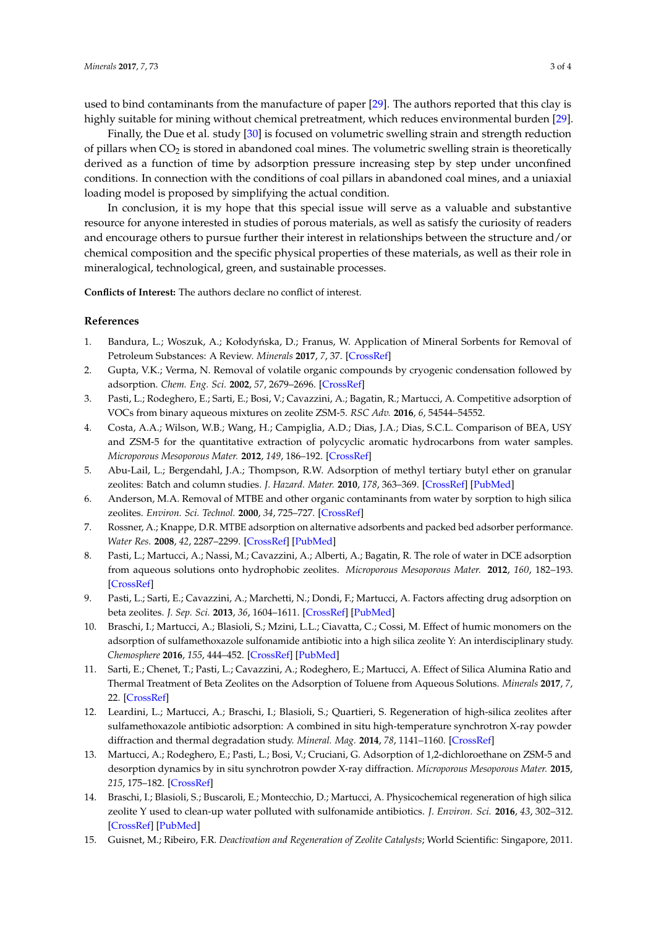used to bind contaminants from the manufacture of paper [\[29\]](#page-3-12). The authors reported that this clay is highly suitable for mining without chemical pretreatment, which reduces environmental burden [\[29\]](#page-3-12).

Finally, the Due et al. study [\[30\]](#page-3-13) is focused on volumetric swelling strain and strength reduction of pillars when  $CO<sub>2</sub>$  is stored in abandoned coal mines. The volumetric swelling strain is theoretically derived as a function of time by adsorption pressure increasing step by step under unconfined conditions. In connection with the conditions of coal pillars in abandoned coal mines, and a uniaxial loading model is proposed by simplifying the actual condition.

In conclusion, it is my hope that this special issue will serve as a valuable and substantive resource for anyone interested in studies of porous materials, as well as satisfy the curiosity of readers and encourage others to pursue further their interest in relationships between the structure and/or chemical composition and the specific physical properties of these materials, as well as their role in mineralogical, technological, green, and sustainable processes.

**Conflicts of Interest:** The authors declare no conflict of interest.

## **References**

- <span id="page-2-0"></span>1. Bandura, L.; Woszuk, A.; Kołodyńska, D.; Franus, W. Application of Mineral Sorbents for Removal of Petroleum Substances: A Review. *Minerals* **2017**, *7*, 37. [\[CrossRef\]](http://dx.doi.org/10.3390/min7030037)
- <span id="page-2-1"></span>2. Gupta, V.K.; Verma, N. Removal of volatile organic compounds by cryogenic condensation followed by adsorption. *Chem. Eng. Sci.* **2002**, *57*, 2679–2696. [\[CrossRef\]](http://dx.doi.org/10.1016/S0009-2509(02)00158-6)
- <span id="page-2-2"></span>3. Pasti, L.; Rodeghero, E.; Sarti, E.; Bosi, V.; Cavazzini, A.; Bagatin, R.; Martucci, A. Competitive adsorption of VOCs from binary aqueous mixtures on zeolite ZSM-5. *RSC Adv.* **2016**, *6*, 54544–54552.
- <span id="page-2-3"></span>4. Costa, A.A.; Wilson, W.B.; Wang, H.; Campiglia, A.D.; Dias, J.A.; Dias, S.C.L. Comparison of BEA, USY and ZSM-5 for the quantitative extraction of polycyclic aromatic hydrocarbons from water samples. *Microporous Mesoporous Mater.* **2012**, *149*, 186–192. [\[CrossRef\]](http://dx.doi.org/10.1016/j.micromeso.2011.06.016)
- 5. Abu-Lail, L.; Bergendahl, J.A.; Thompson, R.W. Adsorption of methyl tertiary butyl ether on granular zeolites: Batch and column studies. *J. Hazard. Mater.* **2010**, *178*, 363–369. [\[CrossRef\]](http://dx.doi.org/10.1016/j.jhazmat.2010.01.088) [\[PubMed\]](http://www.ncbi.nlm.nih.gov/pubmed/20153106)
- 6. Anderson, M.A. Removal of MTBE and other organic contaminants from water by sorption to high silica zeolites. *Environ. Sci. Technol.* **2000**, *34*, 725–727. [\[CrossRef\]](http://dx.doi.org/10.1021/es990390t)
- 7. Rossner, A.; Knappe, D.R. MTBE adsorption on alternative adsorbents and packed bed adsorber performance. *Water Res.* **2008**, *42*, 2287–2299. [\[CrossRef\]](http://dx.doi.org/10.1016/j.watres.2007.12.009) [\[PubMed\]](http://www.ncbi.nlm.nih.gov/pubmed/18222520)
- 8. Pasti, L.; Martucci, A.; Nassi, M.; Cavazzini, A.; Alberti, A.; Bagatin, R. The role of water in DCE adsorption from aqueous solutions onto hydrophobic zeolites. *Microporous Mesoporous Mater.* **2012**, *160*, 182–193. [\[CrossRef\]](http://dx.doi.org/10.1016/j.micromeso.2012.05.015)
- 9. Pasti, L.; Sarti, E.; Cavazzini, A.; Marchetti, N.; Dondi, F.; Martucci, A. Factors affecting drug adsorption on beta zeolites. *J. Sep. Sci.* **2013**, *36*, 1604–1611. [\[CrossRef\]](http://dx.doi.org/10.1002/jssc.201201142) [\[PubMed\]](http://www.ncbi.nlm.nih.gov/pubmed/23436460)
- <span id="page-2-4"></span>10. Braschi, I.; Martucci, A.; Blasioli, S.; Mzini, L.L.; Ciavatta, C.; Cossi, M. Effect of humic monomers on the adsorption of sulfamethoxazole sulfonamide antibiotic into a high silica zeolite Y: An interdisciplinary study. *Chemosphere* **2016**, *155*, 444–452. [\[CrossRef\]](http://dx.doi.org/10.1016/j.chemosphere.2016.04.008) [\[PubMed\]](http://www.ncbi.nlm.nih.gov/pubmed/27139123)
- <span id="page-2-5"></span>11. Sarti, E.; Chenet, T.; Pasti, L.; Cavazzini, A.; Rodeghero, E.; Martucci, A. Effect of Silica Alumina Ratio and Thermal Treatment of Beta Zeolites on the Adsorption of Toluene from Aqueous Solutions. *Minerals* **2017**, *7*, 22. [\[CrossRef\]](http://dx.doi.org/10.3390/min7020022)
- <span id="page-2-6"></span>12. Leardini, L.; Martucci, A.; Braschi, I.; Blasioli, S.; Quartieri, S. Regeneration of high-silica zeolites after sulfamethoxazole antibiotic adsorption: A combined in situ high-temperature synchrotron X-ray powder diffraction and thermal degradation study. *Mineral. Mag.* **2014**, *78*, 1141–1160. [\[CrossRef\]](http://dx.doi.org/10.1180/minmag.2014.078.5.04)
- 13. Martucci, A.; Rodeghero, E.; Pasti, L.; Bosi, V.; Cruciani, G. Adsorption of 1,2-dichloroethane on ZSM-5 and desorption dynamics by in situ synchrotron powder X-ray diffraction. *Microporous Mesoporous Mater.* **2015**, *215*, 175–182. [\[CrossRef\]](http://dx.doi.org/10.1016/j.micromeso.2015.05.035)
- 14. Braschi, I.; Blasioli, S.; Buscaroli, E.; Montecchio, D.; Martucci, A. Physicochemical regeneration of high silica zeolite Y used to clean-up water polluted with sulfonamide antibiotics. *J. Environ. Sci.* **2016**, *43*, 302–312. [\[CrossRef\]](http://dx.doi.org/10.1016/j.jes.2015.07.017) [\[PubMed\]](http://www.ncbi.nlm.nih.gov/pubmed/27155437)
- 15. Guisnet, M.; Ribeiro, F.R. *Deactivation and Regeneration of Zeolite Catalysts*; World Scientific: Singapore, 2011.